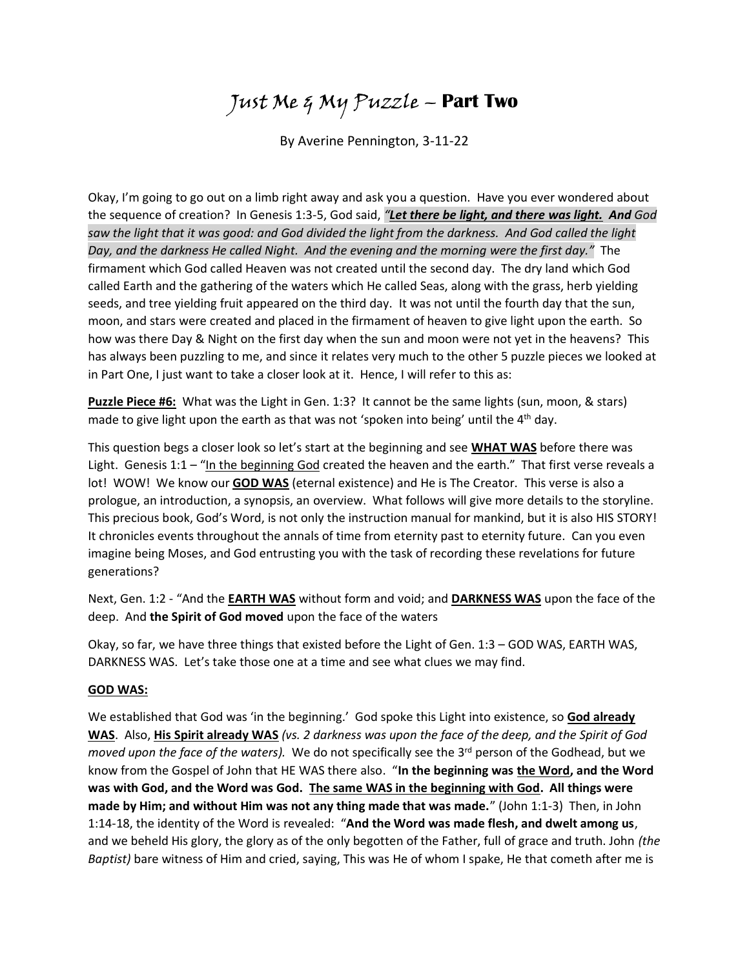# Just Me & My Puzzle – **Part Two**

By Averine Pennington, 3-11-22

Okay, I'm going to go out on a limb right away and ask you a question. Have you ever wondered about the sequence of creation? In Genesis 1:3-5, God said, *"Let there be light, and there was light. And God saw the light that it was good: and God divided the light from the darkness. And God called the light Day, and the darkness He called Night. And the evening and the morning were the first day."* The firmament which God called Heaven was not created until the second day. The dry land which God called Earth and the gathering of the waters which He called Seas, along with the grass, herb yielding seeds, and tree yielding fruit appeared on the third day. It was not until the fourth day that the sun, moon, and stars were created and placed in the firmament of heaven to give light upon the earth. So how was there Day & Night on the first day when the sun and moon were not yet in the heavens? This has always been puzzling to me, and since it relates very much to the other 5 puzzle pieces we looked at in Part One, I just want to take a closer look at it. Hence, I will refer to this as:

**Puzzle Piece #6:** What was the Light in Gen. 1:3? It cannot be the same lights (sun, moon, & stars) made to give light upon the earth as that was not 'spoken into being' until the 4<sup>th</sup> day.

This question begs a closer look so let's start at the beginning and see **WHAT WAS** before there was Light. Genesis 1:1 – "In the beginning God created the heaven and the earth." That first verse reveals a lot! WOW! We know our **GOD WAS** (eternal existence) and He is The Creator. This verse is also a prologue, an introduction, a synopsis, an overview. What follows will give more details to the storyline. This precious book, God's Word, is not only the instruction manual for mankind, but it is also HIS STORY! It chronicles events throughout the annals of time from eternity past to eternity future. Can you even imagine being Moses, and God entrusting you with the task of recording these revelations for future generations?

Next, Gen. 1:2 - "And the **EARTH WAS** without form and void; and **DARKNESS WAS** upon the face of the deep. And **the Spirit of God moved** upon the face of the waters

Okay, so far, we have three things that existed before the Light of Gen. 1:3 – GOD WAS, EARTH WAS, DARKNESS WAS. Let's take those one at a time and see what clues we may find.

## **GOD WAS:**

We established that God was 'in the beginning.' God spoke this Light into existence, so **God already WAS**. Also, **His Spirit already WAS** *(vs. 2 darkness was upon the face of the deep, and the Spirit of God moved upon the face of the waters).* We do not specifically see the 3<sup>rd</sup> person of the Godhead, but we know from the Gospel of John that HE WAS there also. "**In the beginning was the Word, and the Word was with God, and the Word was God. The same WAS in the beginning with God. All things were made by Him; and without Him was not any thing made that was made.**" (John 1:1-3) Then, in John 1:14-18, the identity of the Word is revealed: "**And the Word was made flesh, and dwelt among us**, and we beheld His glory, the glory as of the only begotten of the Father, full of grace and truth. John *(the Baptist)* bare witness of Him and cried, saying, This was He of whom I spake, He that cometh after me is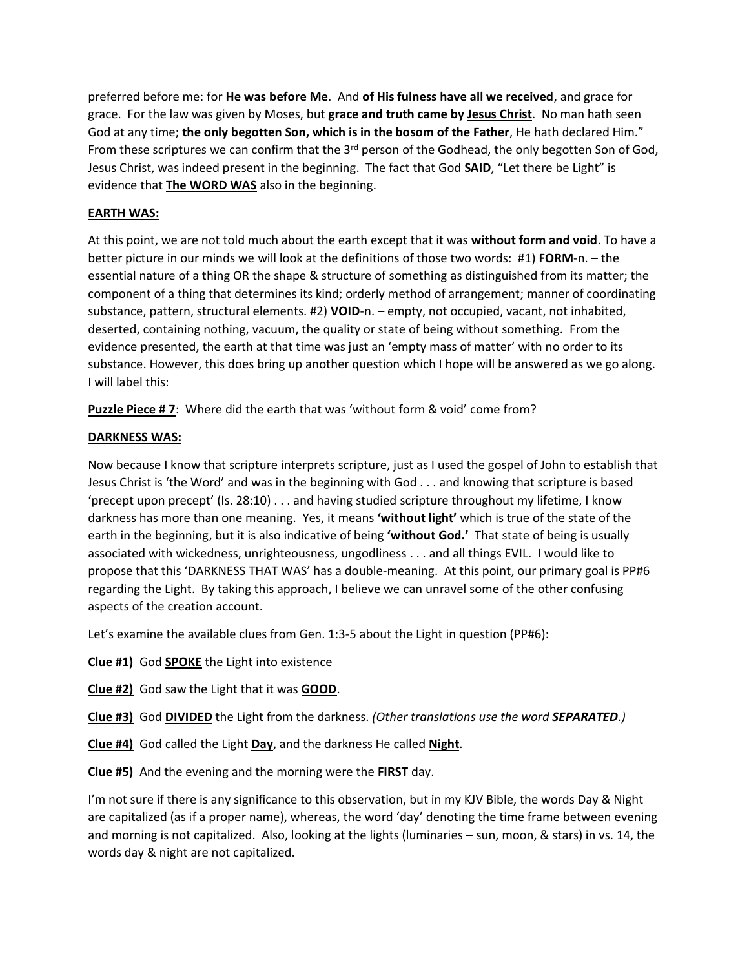preferred before me: for **He was before Me**. And **of His fulness have all we received**, and grace for grace. For the law was given by Moses, but **grace and truth came by Jesus Christ**. No man hath seen God at any time; **the only begotten Son, which is in the bosom of the Father**, He hath declared Him." From these scriptures we can confirm that the  $3<sup>rd</sup>$  person of the Godhead, the only begotten Son of God, Jesus Christ, was indeed present in the beginning. The fact that God **SAID**, "Let there be Light" is evidence that **The WORD WAS** also in the beginning.

# **EARTH WAS:**

At this point, we are not told much about the earth except that it was **without form and void**. To have a better picture in our minds we will look at the definitions of those two words: #1) **FORM**-n. – the essential nature of a thing OR the shape & structure of something as distinguished from its matter; the component of a thing that determines its kind; orderly method of arrangement; manner of coordinating substance, pattern, structural elements. #2) **VOID**-n. – empty, not occupied, vacant, not inhabited, deserted, containing nothing, vacuum, the quality or state of being without something. From the evidence presented, the earth at that time was just an 'empty mass of matter' with no order to its substance. However, this does bring up another question which I hope will be answered as we go along. I will label this:

**Puzzle Piece # 7**: Where did the earth that was 'without form & void' come from?

# **DARKNESS WAS:**

Now because I know that scripture interprets scripture, just as I used the gospel of John to establish that Jesus Christ is 'the Word' and was in the beginning with God . . . and knowing that scripture is based 'precept upon precept' (Is. 28:10) . . . and having studied scripture throughout my lifetime, I know darkness has more than one meaning. Yes, it means **'without light'** which is true of the state of the earth in the beginning, but it is also indicative of being **'without God.'** That state of being is usually associated with wickedness, unrighteousness, ungodliness . . . and all things EVIL. I would like to propose that this 'DARKNESS THAT WAS' has a double-meaning. At this point, our primary goal is PP#6 regarding the Light. By taking this approach, I believe we can unravel some of the other confusing aspects of the creation account.

Let's examine the available clues from Gen. 1:3-5 about the Light in question (PP#6):

**Clue #1)** God **SPOKE** the Light into existence

- **Clue #2)** God saw the Light that it was **GOOD**.
- **Clue #3)** God **DIVIDED** the Light from the darkness. *(Other translations use the word SEPARATED.)*
- **Clue #4)** God called the Light **Day**, and the darkness He called **Night**.
- **Clue #5)** And the evening and the morning were the **FIRST** day.

I'm not sure if there is any significance to this observation, but in my KJV Bible, the words Day & Night are capitalized (as if a proper name), whereas, the word 'day' denoting the time frame between evening and morning is not capitalized. Also, looking at the lights (luminaries – sun, moon, & stars) in vs. 14, the words day & night are not capitalized.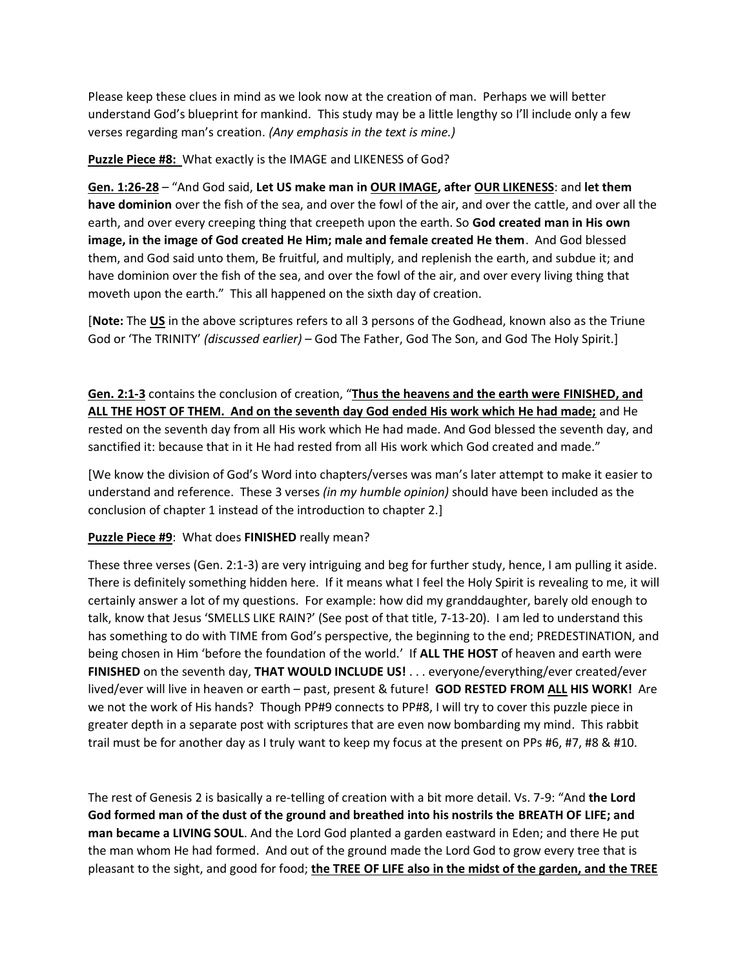Please keep these clues in mind as we look now at the creation of man. Perhaps we will better understand God's blueprint for mankind.This study may be a little lengthy so I'll include only a few verses regarding man's creation. *(Any emphasis in the text is mine.)*

## **Puzzle Piece #8:** What exactly is the IMAGE and LIKENESS of God?

**Gen. 1:26-28** – "And God said, **Let US make man in OUR IMAGE, after OUR LIKENESS**: and **let them have dominion** over the fish of the sea, and over the fowl of the air, and over the cattle, and over all the earth, and over every creeping thing that creepeth upon the earth. So **God created man in His own image, in the image of God created He Him; male and female created He them**. And God blessed them, and God said unto them, Be fruitful, and multiply, and replenish the earth, and subdue it; and have dominion over the fish of the sea, and over the fowl of the air, and over every living thing that moveth upon the earth." This all happened on the sixth day of creation.

[**Note:** The **US** in the above scriptures refers to all 3 persons of the Godhead, known also as the Triune God or 'The TRINITY' *(discussed earlier)* – God The Father, God The Son, and God The Holy Spirit.]

**Gen. 2:1-3** contains the conclusion of creation, "**Thus the heavens and the earth were FINISHED, and ALL THE HOST OF THEM. And on the seventh day God ended His work which He had made;** and He rested on the seventh day from all His work which He had made. And God blessed the seventh day, and sanctified it: because that in it He had rested from all His work which God created and made."

[We know the division of God's Word into chapters/verses was man's later attempt to make it easier to understand and reference. These 3 verses *(in my humble opinion)* should have been included as the conclusion of chapter 1 instead of the introduction to chapter 2.]

## **Puzzle Piece #9**: What does **FINISHED** really mean?

These three verses (Gen. 2:1-3) are very intriguing and beg for further study, hence, I am pulling it aside. There is definitely something hidden here. If it means what I feel the Holy Spirit is revealing to me, it will certainly answer a lot of my questions. For example: how did my granddaughter, barely old enough to talk, know that Jesus 'SMELLS LIKE RAIN?' (See post of that title, 7-13-20). I am led to understand this has something to do with TIME from God's perspective, the beginning to the end; PREDESTINATION, and being chosen in Him 'before the foundation of the world.' If **ALL THE HOST** of heaven and earth were **FINISHED** on the seventh day, **THAT WOULD INCLUDE US!** . . . everyone/everything/ever created/ever lived/ever will live in heaven or earth – past, present & future! **GOD RESTED FROM ALL HIS WORK!** Are we not the work of His hands? Though PP#9 connects to PP#8, I will try to cover this puzzle piece in greater depth in a separate post with scriptures that are even now bombarding my mind. This rabbit trail must be for another day as I truly want to keep my focus at the present on PPs #6, #7, #8 & #10.

The rest of Genesis 2 is basically a re-telling of creation with a bit more detail. Vs. 7-9: "And **the Lord God formed man of the dust of the ground and breathed into his nostrils the BREATH OF LIFE; and man became a LIVING SOUL**. And the Lord God planted a garden eastward in Eden; and there He put the man whom He had formed. And out of the ground made the Lord God to grow every tree that is pleasant to the sight, and good for food; **the TREE OF LIFE also in the midst of the garden, and the TREE**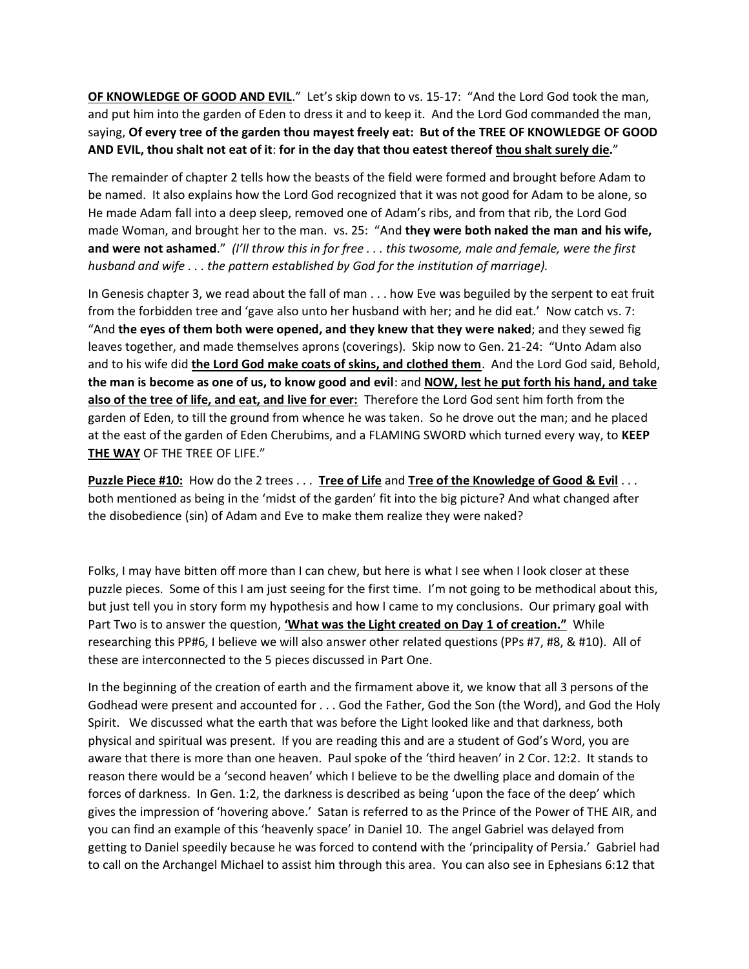**OF KNOWLEDGE OF GOOD AND EVIL**." Let's skip down to vs. 15-17: "And the Lord God took the man, and put him into the garden of Eden to dress it and to keep it. And the Lord God commanded the man, saying, **Of every tree of the garden thou mayest freely eat: But of the TREE OF KNOWLEDGE OF GOOD AND EVIL, thou shalt not eat of it**: **for in the day that thou eatest thereof thou shalt surely die.**"

The remainder of chapter 2 tells how the beasts of the field were formed and brought before Adam to be named. It also explains how the Lord God recognized that it was not good for Adam to be alone, so He made Adam fall into a deep sleep, removed one of Adam's ribs, and from that rib, the Lord God made Woman, and brought her to the man. vs. 25: "And **they were both naked the man and his wife, and were not ashamed**." *(I'll throw this in for free . . . this twosome, male and female, were the first husband and wife . . . the pattern established by God for the institution of marriage).* 

In Genesis chapter 3, we read about the fall of man . . . how Eve was beguiled by the serpent to eat fruit from the forbidden tree and 'gave also unto her husband with her; and he did eat.' Now catch vs. 7: "And **the eyes of them both were opened, and they knew that they were naked**; and they sewed fig leaves together, and made themselves aprons (coverings). Skip now to Gen. 21-24: "Unto Adam also and to his wife did **the Lord God make coats of skins, and clothed them**. And the Lord God said, Behold, **the man is become as one of us, to know good and evil**: and **NOW, lest he put forth his hand, and take also of the tree of life, and eat, and live for ever:** Therefore the Lord God sent him forth from the garden of Eden, to till the ground from whence he was taken. So he drove out the man; and he placed at the east of the garden of Eden Cherubims, and a FLAMING SWORD which turned every way, to **KEEP THE WAY** OF THE TREE OF LIFE."

**Puzzle Piece #10:** How do the 2 trees . . . **Tree of Life** and **Tree of the Knowledge of Good & Evil** . . . both mentioned as being in the 'midst of the garden' fit into the big picture? And what changed after the disobedience (sin) of Adam and Eve to make them realize they were naked?

Folks, I may have bitten off more than I can chew, but here is what I see when I look closer at these puzzle pieces. Some of this I am just seeing for the first time. I'm not going to be methodical about this, but just tell you in story form my hypothesis and how I came to my conclusions. Our primary goal with Part Two is to answer the question, **'What was the Light created on Day 1 of creation."** While researching this PP#6, I believe we will also answer other related questions (PPs #7, #8, & #10). All of these are interconnected to the 5 pieces discussed in Part One.

In the beginning of the creation of earth and the firmament above it, we know that all 3 persons of the Godhead were present and accounted for . . . God the Father, God the Son (the Word), and God the Holy Spirit. We discussed what the earth that was before the Light looked like and that darkness, both physical and spiritual was present. If you are reading this and are a student of God's Word, you are aware that there is more than one heaven. Paul spoke of the 'third heaven' in 2 Cor. 12:2. It stands to reason there would be a 'second heaven' which I believe to be the dwelling place and domain of the forces of darkness. In Gen. 1:2, the darkness is described as being 'upon the face of the deep' which gives the impression of 'hovering above.' Satan is referred to as the Prince of the Power of THE AIR, and you can find an example of this 'heavenly space' in Daniel 10. The angel Gabriel was delayed from getting to Daniel speedily because he was forced to contend with the 'principality of Persia.' Gabriel had to call on the Archangel Michael to assist him through this area. You can also see in Ephesians 6:12 that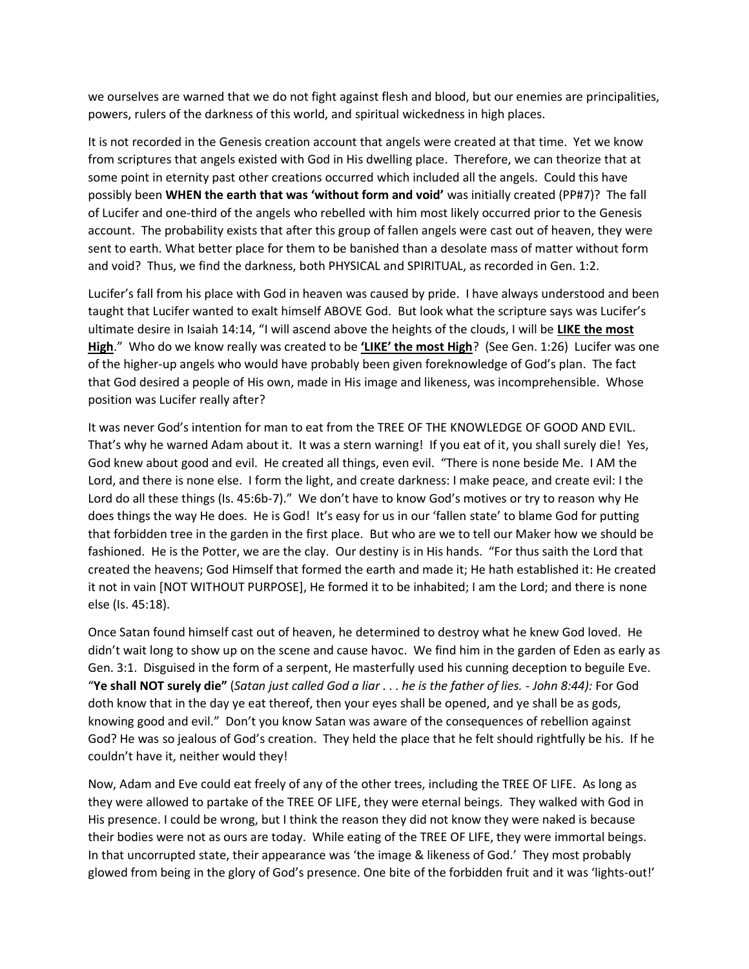we ourselves are warned that we do not fight against flesh and blood, but our enemies are principalities, powers, rulers of the darkness of this world, and spiritual wickedness in high places.

It is not recorded in the Genesis creation account that angels were created at that time. Yet we know from scriptures that angels existed with God in His dwelling place. Therefore, we can theorize that at some point in eternity past other creations occurred which included all the angels. Could this have possibly been **WHEN the earth that was 'without form and void'** was initially created (PP#7)? The fall of Lucifer and one-third of the angels who rebelled with him most likely occurred prior to the Genesis account. The probability exists that after this group of fallen angels were cast out of heaven, they were sent to earth. What better place for them to be banished than a desolate mass of matter without form and void? Thus, we find the darkness, both PHYSICAL and SPIRITUAL, as recorded in Gen. 1:2.

Lucifer's fall from his place with God in heaven was caused by pride. I have always understood and been taught that Lucifer wanted to exalt himself ABOVE God. But look what the scripture says was Lucifer's ultimate desire in Isaiah 14:14, "I will ascend above the heights of the clouds, I will be **LIKE the most High**." Who do we know really was created to be **'LIKE' the most High**? (See Gen. 1:26) Lucifer was one of the higher-up angels who would have probably been given foreknowledge of God's plan. The fact that God desired a people of His own, made in His image and likeness, was incomprehensible. Whose position was Lucifer really after?

It was never God's intention for man to eat from the TREE OF THE KNOWLEDGE OF GOOD AND EVIL. That's why he warned Adam about it. It was a stern warning! If you eat of it, you shall surely die! Yes, God knew about good and evil. He created all things, even evil. "There is none beside Me. I AM the Lord, and there is none else. I form the light, and create darkness: I make peace, and create evil: I the Lord do all these things (Is. 45:6b-7)." We don't have to know God's motives or try to reason why He does things the way He does. He is God! It's easy for us in our 'fallen state' to blame God for putting that forbidden tree in the garden in the first place. But who are we to tell our Maker how we should be fashioned. He is the Potter, we are the clay. Our destiny is in His hands. "For thus saith the Lord that created the heavens; God Himself that formed the earth and made it; He hath established it: He created it not in vain [NOT WITHOUT PURPOSE], He formed it to be inhabited; I am the Lord; and there is none else (Is. 45:18).

Once Satan found himself cast out of heaven, he determined to destroy what he knew God loved. He didn't wait long to show up on the scene and cause havoc. We find him in the garden of Eden as early as Gen. 3:1. Disguised in the form of a serpent, He masterfully used his cunning deception to beguile Eve. "**Ye shall NOT surely die"** (*Satan just called God a liar . . . he is the father of lies. - John 8:44):* For God doth know that in the day ye eat thereof, then your eyes shall be opened, and ye shall be as gods, knowing good and evil." Don't you know Satan was aware of the consequences of rebellion against God? He was so jealous of God's creation. They held the place that he felt should rightfully be his. If he couldn't have it, neither would they!

Now, Adam and Eve could eat freely of any of the other trees, including the TREE OF LIFE. As long as they were allowed to partake of the TREE OF LIFE, they were eternal beings. They walked with God in His presence. I could be wrong, but I think the reason they did not know they were naked is because their bodies were not as ours are today. While eating of the TREE OF LIFE, they were immortal beings. In that uncorrupted state, their appearance was 'the image & likeness of God.' They most probably glowed from being in the glory of God's presence. One bite of the forbidden fruit and it was 'lights-out!'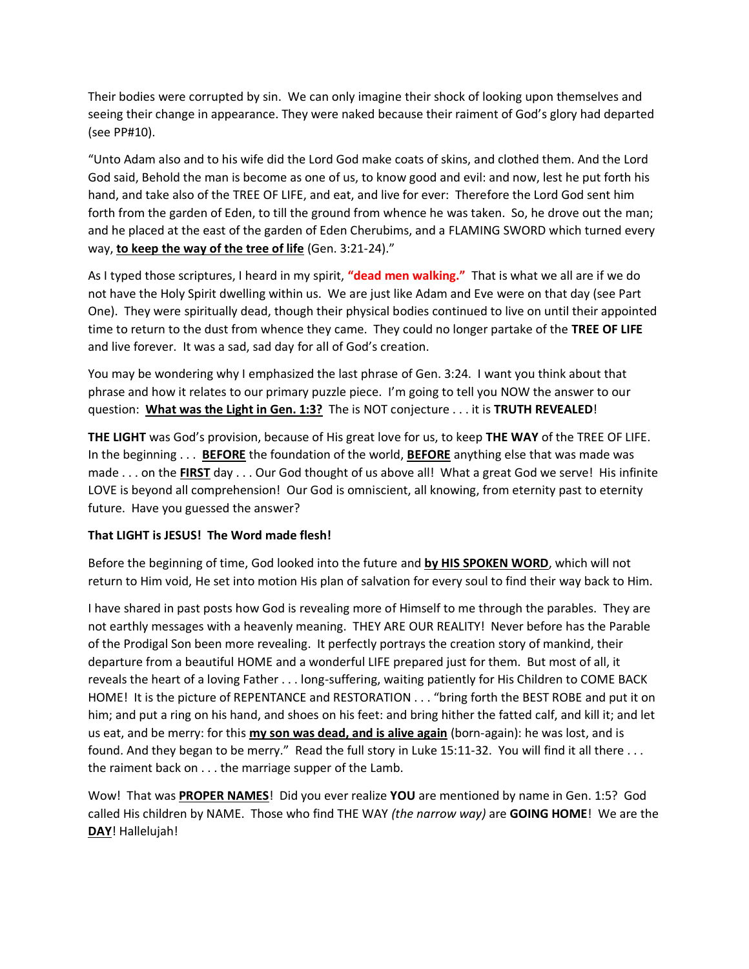Their bodies were corrupted by sin. We can only imagine their shock of looking upon themselves and seeing their change in appearance. They were naked because their raiment of God's glory had departed (see PP#10).

"Unto Adam also and to his wife did the Lord God make coats of skins, and clothed them. And the Lord God said, Behold the man is become as one of us, to know good and evil: and now, lest he put forth his hand, and take also of the TREE OF LIFE, and eat, and live for ever: Therefore the Lord God sent him forth from the garden of Eden, to till the ground from whence he was taken. So, he drove out the man; and he placed at the east of the garden of Eden Cherubims, and a FLAMING SWORD which turned every way, **to keep the way of the tree of life** (Gen. 3:21-24)."

As I typed those scriptures, I heard in my spirit, **"dead men walking."** That is what we all are if we do not have the Holy Spirit dwelling within us. We are just like Adam and Eve were on that day (see Part One). They were spiritually dead, though their physical bodies continued to live on until their appointed time to return to the dust from whence they came. They could no longer partake of the **TREE OF LIFE** and live forever. It was a sad, sad day for all of God's creation.

You may be wondering why I emphasized the last phrase of Gen. 3:24. I want you think about that phrase and how it relates to our primary puzzle piece. I'm going to tell you NOW the answer to our question: **What was the Light in Gen. 1:3?** The is NOT conjecture . . . it is **TRUTH REVEALED**!

**THE LIGHT** was God's provision, because of His great love for us, to keep **THE WAY** of the TREE OF LIFE. In the beginning . . . **BEFORE** the foundation of the world, **BEFORE** anything else that was made was made . . . on the **FIRST** day . . . Our God thought of us above all! What a great God we serve! His infinite LOVE is beyond all comprehension! Our God is omniscient, all knowing, from eternity past to eternity future. Have you guessed the answer?

## **That LIGHT is JESUS! The Word made flesh!**

Before the beginning of time, God looked into the future and **by HIS SPOKEN WORD**, which will not return to Him void, He set into motion His plan of salvation for every soul to find their way back to Him.

I have shared in past posts how God is revealing more of Himself to me through the parables. They are not earthly messages with a heavenly meaning. THEY ARE OUR REALITY! Never before has the Parable of the Prodigal Son been more revealing. It perfectly portrays the creation story of mankind, their departure from a beautiful HOME and a wonderful LIFE prepared just for them. But most of all, it reveals the heart of a loving Father . . . long-suffering, waiting patiently for His Children to COME BACK HOME! It is the picture of REPENTANCE and RESTORATION . . . "bring forth the BEST ROBE and put it on him; and put a ring on his hand, and shoes on his feet: and bring hither the fatted calf, and kill it; and let us eat, and be merry: for this **my son was dead, and is alive again** (born-again): he was lost, and is found. And they began to be merry." Read the full story in Luke 15:11-32. You will find it all there . . . the raiment back on . . . the marriage supper of the Lamb.

Wow! That was **PROPER NAMES**! Did you ever realize **YOU** are mentioned by name in Gen. 1:5? God called His children by NAME. Those who find THE WAY *(the narrow way)* are **GOING HOME**! We are the **DAY**! Hallelujah!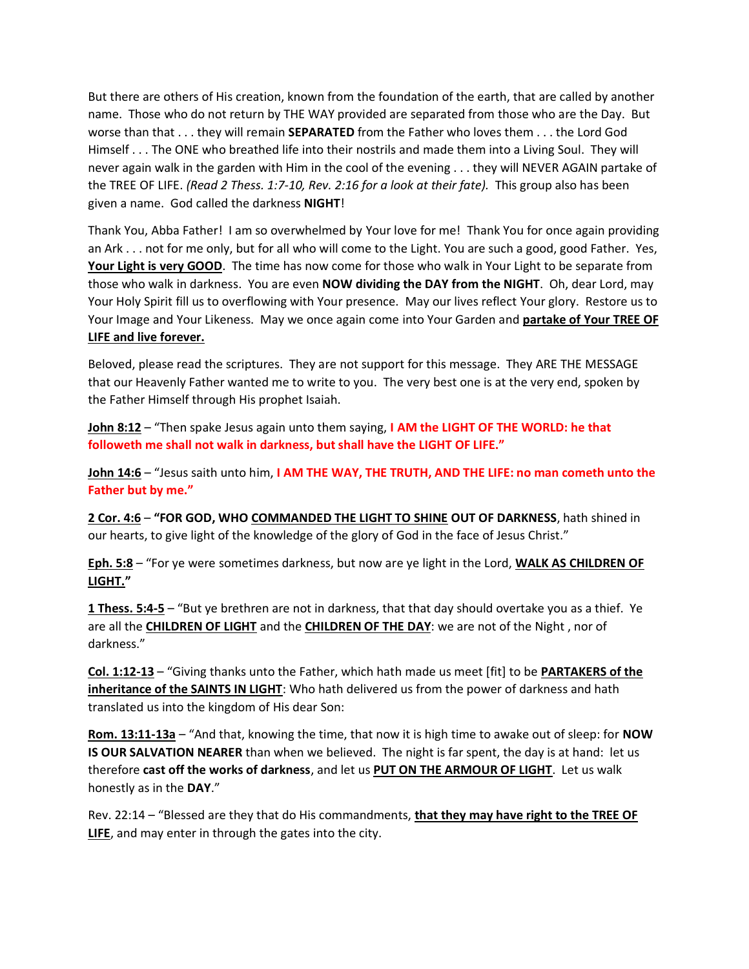But there are others of His creation, known from the foundation of the earth, that are called by another name. Those who do not return by THE WAY provided are separated from those who are the Day. But worse than that . . . they will remain **SEPARATED** from the Father who loves them . . . the Lord God Himself . . . The ONE who breathed life into their nostrils and made them into a Living Soul. They will never again walk in the garden with Him in the cool of the evening . . . they will NEVER AGAIN partake of the TREE OF LIFE. *(Read 2 Thess. 1:7-10, Rev. 2:16 for a look at their fate).* This group also has been given a name. God called the darkness **NIGHT**!

Thank You, Abba Father! I am so overwhelmed by Your love for me! Thank You for once again providing an Ark . . . not for me only, but for all who will come to the Light. You are such a good, good Father. Yes, **Your Light is very GOOD**. The time has now come for those who walk in Your Light to be separate from those who walk in darkness. You are even **NOW dividing the DAY from the NIGHT**. Oh, dear Lord, may Your Holy Spirit fill us to overflowing with Your presence. May our lives reflect Your glory. Restore us to Your Image and Your Likeness. May we once again come into Your Garden and **partake of Your TREE OF LIFE and live forever.**

Beloved, please read the scriptures. They are not support for this message. They ARE THE MESSAGE that our Heavenly Father wanted me to write to you. The very best one is at the very end, spoken by the Father Himself through His prophet Isaiah.

**John 8:12** – "Then spake Jesus again unto them saying, **I AM the LIGHT OF THE WORLD: he that followeth me shall not walk in darkness, but shall have the LIGHT OF LIFE."**

**John 14:6** – "Jesus saith unto him, **I AM THE WAY, THE TRUTH, AND THE LIFE: no man cometh unto the Father but by me."**

**2 Cor. 4:6** – **"FOR GOD, WHO COMMANDED THE LIGHT TO SHINE OUT OF DARKNESS**, hath shined in our hearts, to give light of the knowledge of the glory of God in the face of Jesus Christ."

**Eph. 5:8** – "For ye were sometimes darkness, but now are ye light in the Lord, **WALK AS CHILDREN OF LIGHT."**

**1 Thess. 5:4-5** – "But ye brethren are not in darkness, that that day should overtake you as a thief. Ye are all the **CHILDREN OF LIGHT** and the **CHILDREN OF THE DAY**: we are not of the Night , nor of darkness."

**Col. 1:12-13** – "Giving thanks unto the Father, which hath made us meet [fit] to be **PARTAKERS of the inheritance of the SAINTS IN LIGHT**: Who hath delivered us from the power of darkness and hath translated us into the kingdom of His dear Son:

**Rom. 13:11-13a** – "And that, knowing the time, that now it is high time to awake out of sleep: for **NOW IS OUR SALVATION NEARER** than when we believed. The night is far spent, the day is at hand: let us therefore **cast off the works of darkness**, and let us **PUT ON THE ARMOUR OF LIGHT**. Let us walk honestly as in the **DAY**."

Rev. 22:14 – "Blessed are they that do His commandments, **that they may have right to the TREE OF LIFE**, and may enter in through the gates into the city.